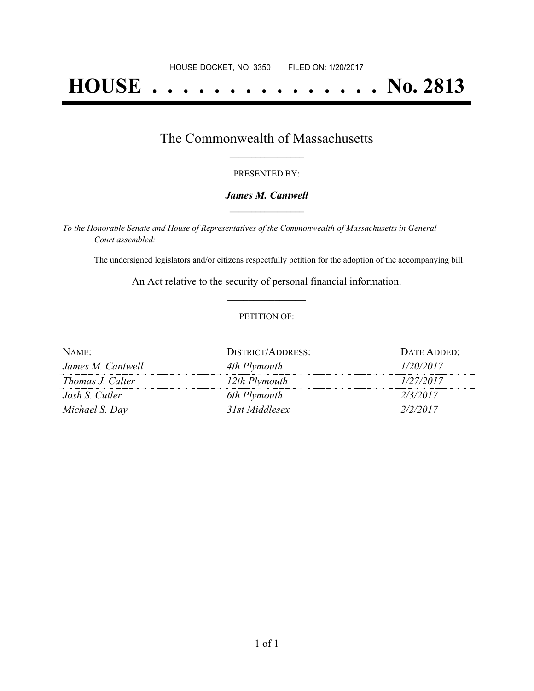# **HOUSE . . . . . . . . . . . . . . . No. 2813**

### The Commonwealth of Massachusetts **\_\_\_\_\_\_\_\_\_\_\_\_\_\_\_\_\_**

#### PRESENTED BY:

#### *James M. Cantwell* **\_\_\_\_\_\_\_\_\_\_\_\_\_\_\_\_\_**

*To the Honorable Senate and House of Representatives of the Commonwealth of Massachusetts in General Court assembled:*

The undersigned legislators and/or citizens respectfully petition for the adoption of the accompanying bill:

An Act relative to the security of personal financial information. **\_\_\_\_\_\_\_\_\_\_\_\_\_\_\_**

#### PETITION OF:

| NAME:             | DISTRICT/ADDRESS: | DATE ADDED: |
|-------------------|-------------------|-------------|
| James M. Cantwell | 4th Plymouth      | 1/20/2017   |
| Thomas J. Calter  | 12th Plymouth     | 1/27/2017   |
| Josh S. Cutler    | 6th Plymouth      | 2/3/2017    |
| Michael S. Day    | 31st Middlesex    | 2/2/2017    |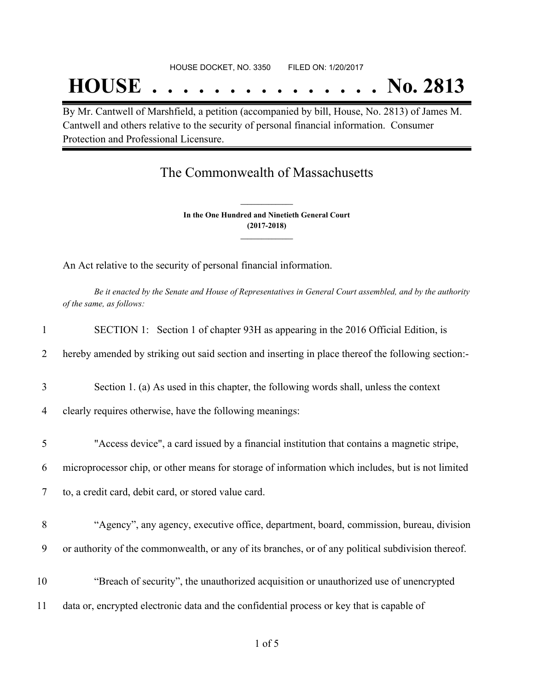## **HOUSE . . . . . . . . . . . . . . . No. 2813**

By Mr. Cantwell of Marshfield, a petition (accompanied by bill, House, No. 2813) of James M. Cantwell and others relative to the security of personal financial information. Consumer Protection and Professional Licensure.

## The Commonwealth of Massachusetts

**In the One Hundred and Ninetieth General Court (2017-2018) \_\_\_\_\_\_\_\_\_\_\_\_\_\_\_**

**\_\_\_\_\_\_\_\_\_\_\_\_\_\_\_**

An Act relative to the security of personal financial information.

Be it enacted by the Senate and House of Representatives in General Court assembled, and by the authority *of the same, as follows:*

| $\mathbf{1}$ | SECTION 1: Section 1 of chapter 93H as appearing in the 2016 Official Edition, is                  |
|--------------|----------------------------------------------------------------------------------------------------|
| 2            | hereby amended by striking out said section and inserting in place thereof the following section:- |
| 3            | Section 1. (a) As used in this chapter, the following words shall, unless the context              |
| 4            | clearly requires otherwise, have the following meanings:                                           |
| 5            | "Access device", a card issued by a financial institution that contains a magnetic stripe,         |
| 6            | microprocessor chip, or other means for storage of information which includes, but is not limited  |
| 7            | to, a credit card, debit card, or stored value card.                                               |
| 8            | "Agency", any agency, executive office, department, board, commission, bureau, division            |
| 9            | or authority of the commonwealth, or any of its branches, or of any political subdivision thereof. |
| 10           | "Breach of security", the unauthorized acquisition or unauthorized use of unencrypted              |
| 11           | data or, encrypted electronic data and the confidential process or key that is capable of          |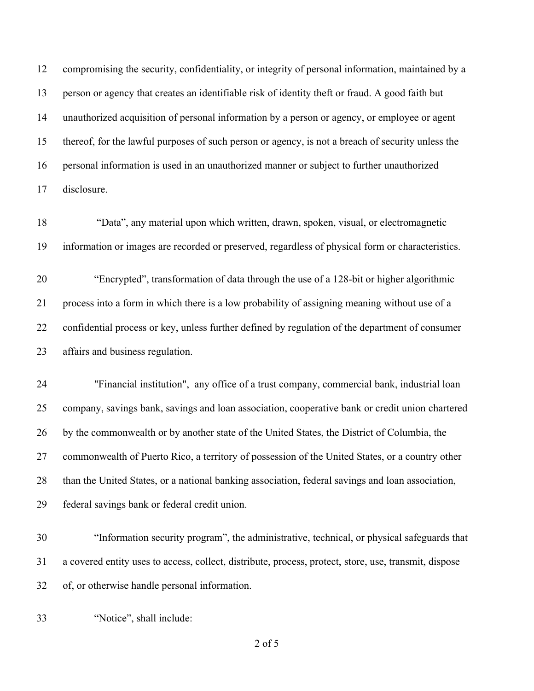compromising the security, confidentiality, or integrity of personal information, maintained by a person or agency that creates an identifiable risk of identity theft or fraud. A good faith but unauthorized acquisition of personal information by a person or agency, or employee or agent thereof, for the lawful purposes of such person or agency, is not a breach of security unless the personal information is used in an unauthorized manner or subject to further unauthorized disclosure.

 "Data", any material upon which written, drawn, spoken, visual, or electromagnetic information or images are recorded or preserved, regardless of physical form or characteristics.

 "Encrypted", transformation of data through the use of a 128-bit or higher algorithmic process into a form in which there is a low probability of assigning meaning without use of a confidential process or key, unless further defined by regulation of the department of consumer affairs and business regulation.

 "Financial institution", any office of a trust company, commercial bank, industrial loan company, savings bank, savings and loan association, cooperative bank or credit union chartered by the commonwealth or by another state of the United States, the District of Columbia, the commonwealth of Puerto Rico, a territory of possession of the United States, or a country other than the United States, or a national banking association, federal savings and loan association, federal savings bank or federal credit union.

 "Information security program", the administrative, technical, or physical safeguards that a covered entity uses to access, collect, distribute, process, protect, store, use, transmit, dispose of, or otherwise handle personal information.

"Notice", shall include:

of 5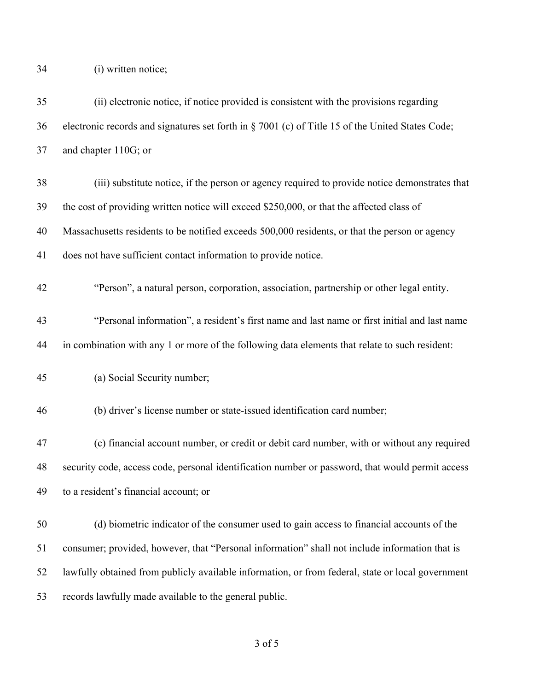34 (i) written notice;

| 35 | (ii) electronic notice, if notice provided is consistent with the provisions regarding            |
|----|---------------------------------------------------------------------------------------------------|
| 36 | electronic records and signatures set forth in § 7001 (c) of Title 15 of the United States Code;  |
| 37 | and chapter 110G; or                                                                              |
| 38 | (iii) substitute notice, if the person or agency required to provide notice demonstrates that     |
| 39 | the cost of providing written notice will exceed \$250,000, or that the affected class of         |
| 40 | Massachusetts residents to be notified exceeds 500,000 residents, or that the person or agency    |
| 41 | does not have sufficient contact information to provide notice.                                   |
| 42 | "Person", a natural person, corporation, association, partnership or other legal entity.          |
| 43 | "Personal information", a resident's first name and last name or first initial and last name      |
| 44 | in combination with any 1 or more of the following data elements that relate to such resident:    |
| 45 | (a) Social Security number;                                                                       |
| 46 | (b) driver's license number or state-issued identification card number;                           |
| 47 | (c) financial account number, or credit or debit card number, with or without any required        |
| 48 | security code, access code, personal identification number or password, that would permit access  |
| 49 | to a resident's financial account; or                                                             |
| 50 | (d) biometric indicator of the consumer used to gain access to financial accounts of the          |
| 51 | consumer; provided, however, that "Personal information" shall not include information that is    |
| 52 | lawfully obtained from publicly available information, or from federal, state or local government |
| 53 | records lawfully made available to the general public.                                            |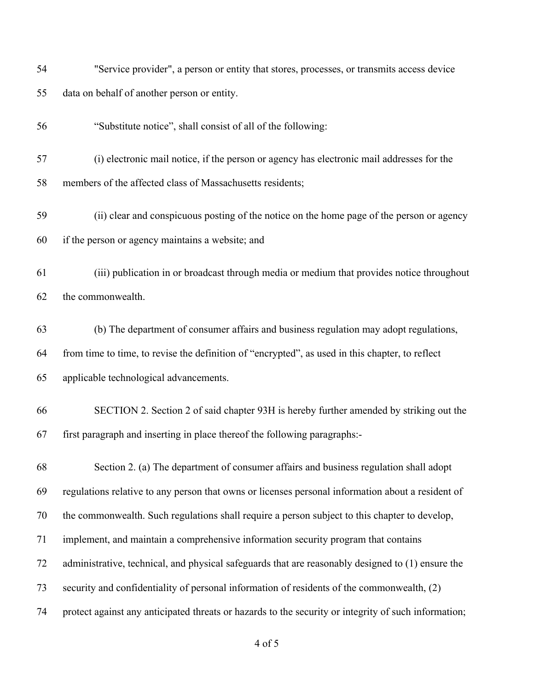| 54 | "Service provider", a person or entity that stores, processes, or transmits access device            |
|----|------------------------------------------------------------------------------------------------------|
| 55 | data on behalf of another person or entity.                                                          |
| 56 | "Substitute notice", shall consist of all of the following:                                          |
| 57 | (i) electronic mail notice, if the person or agency has electronic mail addresses for the            |
| 58 | members of the affected class of Massachusetts residents;                                            |
| 59 | (ii) clear and conspicuous posting of the notice on the home page of the person or agency            |
| 60 | if the person or agency maintains a website; and                                                     |
| 61 | (iii) publication in or broadcast through media or medium that provides notice throughout            |
| 62 | the commonwealth.                                                                                    |
| 63 | (b) The department of consumer affairs and business regulation may adopt regulations,                |
| 64 | from time to time, to revise the definition of "encrypted", as used in this chapter, to reflect      |
| 65 | applicable technological advancements.                                                               |
| 66 | SECTION 2. Section 2 of said chapter 93H is hereby further amended by striking out the               |
| 67 | first paragraph and inserting in place thereof the following paragraphs:-                            |
| 68 | Section 2. (a) The department of consumer affairs and business regulation shall adopt                |
| 69 | regulations relative to any person that owns or licenses personal information about a resident of    |
| 70 | the commonwealth. Such regulations shall require a person subject to this chapter to develop,        |
| 71 | implement, and maintain a comprehensive information security program that contains                   |
| 72 | administrative, technical, and physical safeguards that are reasonably designed to (1) ensure the    |
| 73 | security and confidentiality of personal information of residents of the commonwealth, (2)           |
| 74 | protect against any anticipated threats or hazards to the security or integrity of such information; |
|    |                                                                                                      |

of 5